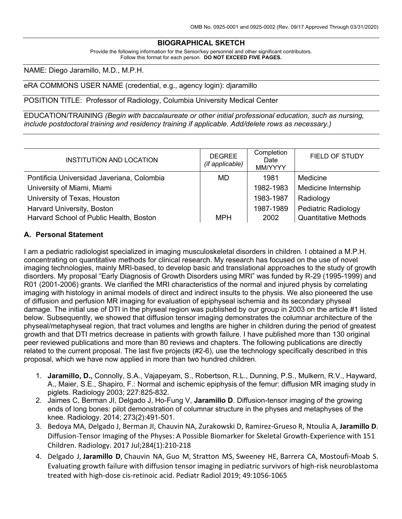#### **BIOGRAPHICAL SKETCH**

Provide the following information for the Senior/key personnel and other significant contributors. Follow this format for each person. **DO NOT EXCEED FIVE PAGES.**

NAME: Diego Jaramillo, M.D., M.P.H.

#### eRA COMMONS USER NAME (credential, e.g., agency login): djaramillo

POSITION TITLE: Professor of Radiology, Columbia University Medical Center

EDUCATION/TRAINING *(Begin with baccalaureate or other initial professional education, such as nursing, include postdoctoral training and residency training if applicable. Add/delete rows as necessary.)*

| <b>INSTITUTION AND LOCATION</b>            | <b>DEGREE</b><br>(if applicable) | Completion<br>Date<br>MM/YYYY | FIELD OF STUDY              |
|--------------------------------------------|----------------------------------|-------------------------------|-----------------------------|
| Pontificia Universidad Javeriana, Colombia | MD                               | 1981                          | Medicine                    |
| University of Miami, Miami                 |                                  | 1982-1983                     | Medicine Internship         |
| University of Texas, Houston               |                                  | 1983-1987                     | Radiology                   |
| Harvard University, Boston                 |                                  | 1987-1989                     | <b>Pediatric Radiology</b>  |
| Harvard School of Public Health, Boston    | <b>MPH</b>                       | 2002                          | <b>Quantitative Methods</b> |

#### **A. Personal Statement**

I am a pediatric radiologist specialized in imaging musculoskeletal disorders in children. I obtained a M.P.H. concentrating on quantitative methods for clinical research. My research has focused on the use of novel imaging technologies, mainly MRI-based, to develop basic and transIational approaches to the study of growth disorders. My proposal "Early Diagnosis of Growth Disorders using MRI" was funded by R-29 (1995-1999) and R01 (2001-2006) grants. We clarified the MRI characteristics of the normal and injured physis by correlating imaging with histology in animal models of direct and indirect insults to the physis. We also pioneered the use of diffusion and perfusion MR imaging for evaluation of epiphyseal ischemia and its secondary physeal damage. The initial use of DTI in the physeal region was published by our group in 2003 on the article #1 listed below. Subsequently, we showed that diffusion tensor imaging demonstrates the columnar architecture of the physeal/metaphyseal region, that tract volumes and lengths are higher in children during the period of greatest growth and that DTI metrics decrease in patients with growth failure. I have published more than 130 original peer reviewed publications and more than 80 reviews and chapters. The following publications are directly related to the current proposal. The last five projects (#2-6), use the technology specifically described in this proposal, which we have now applied in more than two hundred children.

- 1. **Jaramillo, D.,** Connolly, S.A., Vajapeyam, S., Robertson, R.L., Dunning, P.S., Mulkern, R.V., Hayward, A., Maier, S.E., Shapiro, F.: Normal and ischemic epiphysis of the femur: diffusion MR imaging study in piglets. Radiology 2003; 227:825-832.
- 2. Jaimes C, Berman JI, Delgado J, Ho-Fung V, **Jaramillo D**. Diffusion-tensor imaging of the growing ends of long bones: pilot demonstration of columnar structure in the physes and metaphyses of the knee. Radiology. 2014; 273(2):491-501.
- 3. Bedoya MA, Delgado J, Berman JI, Chauvin NA, Zurakowski D, Ramirez-Grueso R, Ntoulia A, **Jaramillo D**. Diffusion-Tensor Imaging of the Physes: A Possible Biomarker for Skeletal Growth-Experience with 151 Children. Radiology. 2017 Jul;284(1):210-218
- 4. Delgado J, **Jaramillo D**, Chauvin NA, Guo M, Stratton MS, Sweeney HE, Barrera CA, Mostoufi-Moab S. Evaluating growth failure with diffusion tensor imaging in pediatric survivors of high-risk neuroblastoma treated with high-dose cis-retinoic acid. Pediatr Radiol 2019; 49:1056-1065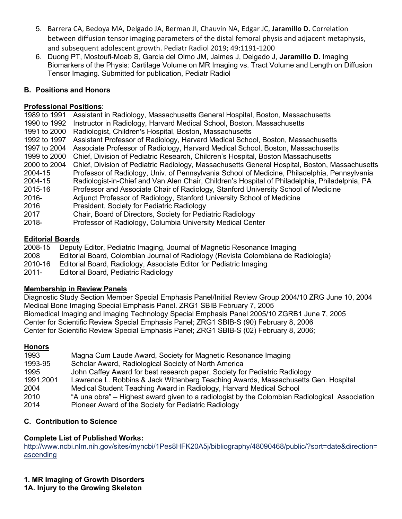- 5. Barrera CA, Bedoya MA, Delgado JA, Berman JI, Chauvin NA, Edgar JC, **Jaramillo D.** Correlation between diffusion tensor imaging parameters of the distal femoral physis and adjacent metaphysis, and subsequent adolescent growth. Pediatr Radiol 2019; 49:1191-1200
- 6. Duong PT, Mostoufi-Moab S, Garcia del Olmo JM, Jaimes J, Delgado J, **Jaramillo D.** Imaging Biomarkers of the Physis: Cartilage Volume on MR Imaging vs. Tract Volume and Length on Diffusion Tensor Imaging. Submitted for publication, Pediatr Radiol

## **B. Positions and Honors**

## **Professional Positions**:

1989 to 1991 Assistant in Radiology, Massachusetts General Hospital, Boston, Massachusetts 1990 to 1992 Instructor in Radiology, Harvard Medical School, Boston, Massachusetts 1991 to 2000 Radiologist, Children's Hospital, Boston, Massachusetts 1992 to 1997 Assistant Professor of Radiology, Harvard Medical School, Boston, Massachusetts 1997 to 2004 Associate Professor of Radiology, Harvard Medical School, Boston, Massachusetts 1999 to 2000 Chief, Division of Pediatric Research, Children's Hospital, Boston Massachusetts 2000 to 2004 Chief, Division of Pediatric Radiology, Massachusetts General Hospital, Boston, Massachusetts 2004-15 Professor of Radiology, Univ. of Pennsylvania School of Medicine, Philadelphia, Pennsylvania 2004-15 Radiologist-in-Chief and Van Alen Chair, Children's Hospital of Philadelphia, Philadelphia, PA 2015-16 Professor and Associate Chair of Radiology, Stanford University School of Medicine 2016- Adjunct Professor of Radiology, Stanford University School of Medicine 2016 President, Society for Pediatric Radiology 2017 Chair, Board of Directors, Society for Pediatric Radiology 2018- Professor of Radiology, Columbia University Medical Center

## **Editorial Boards**

2008-15 Deputy Editor, Pediatric Imaging, Journal of Magnetic Resonance Imaging 2008 Editorial Board, Colombian Journal of Radiology (Revista Colombiana de Radiologia) 2010-16 Editorial Board, Radiology, Associate Editor for Pediatric Imaging

2011- Editorial Board, Pediatric Radiology

# **Membership in Review Panels**

Diagnostic Study Section Member Special Emphasis Panel/Initial Review Group 2004/10 ZRG June 10, 2004 Medical Bone Imaging Special Emphasis Panel. ZRG1 SBIB February 7, 2005 Biomedical Imaging and Imaging Technology Special Emphasis Panel 2005/10 ZGRB1 June 7, 2005 Center for Scientific Review Special Emphasis Panel; ZRG1 SBIB-S (90) February 8, 2006 Center for Scientific Review Special Emphasis Panel; ZRG1 SBIB-S (02) February 8, 2006;

## **Honors**

| 1993      | Magna Cum Laude Award, Society for Magnetic Resonance Imaging                                 |
|-----------|-----------------------------------------------------------------------------------------------|
| 1993-95   | Scholar Award, Radiological Society of North America                                          |
| 1995      | John Caffey Award for best research paper, Society for Pediatric Radiology                    |
| 1991,2001 | Lawrence L. Robbins & Jack Wittenberg Teaching Awards, Massachusetts Gen. Hospital            |
| 2004      | Medical Student Teaching Award in Radiology, Harvard Medical School                           |
| 2010      | "A una obra" – Highest award given to a radiologist by the Colombian Radiological Association |
| 2014      | Pioneer Award of the Society for Pediatric Radiology                                          |

# **C. Contribution to Science**

# **Complete List of Published Works:**

http://www.ncbi.nlm.nih.gov/sites/myncbi/1Pes8HFK20A5j/bibliography/48090468/public/?sort=date&direction= ascending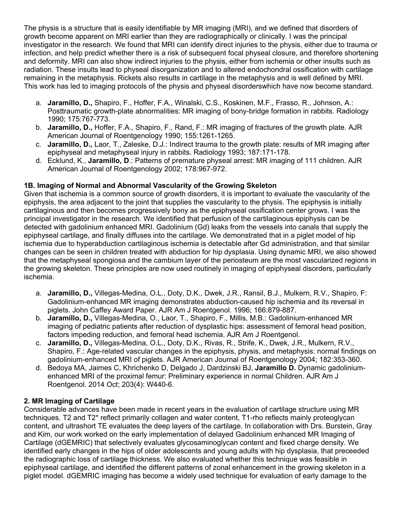The physis is a structure that is easily identifiable by MR imaging (MRI), and we defined that disorders of growth become apparent on MRI earlier than they are radiographically or clinically. I was the principal investigator in the research. We found that MRI can identify direct injuries to the physis, either due to trauma or infection, and help predict whether there is a risk of subsequent focal physeal closure, and therefore shortening and deformity. MRI can also show indirect injuries to the physis, either from ischemia or other insults such as radiation. These insults lead to physeal disorganization and to altered endochondral ossification with cartilage remaining in the metaphysis. Rickets also results in cartilage in the metaphysis and is well defined by MRI. This work has led to imaging protocols of the physis and physeal disorderswhich have now become standard.

- a. **Jaramillo, D.,** Shapiro, F., Hoffer, F.A., Winalski, C.S., Koskinen, M.F., Frasso, R., Johnson, A.: Posttraumatic growth-plate abnormalities: MR imaging of bony-bridge formation in rabbits. Radiology 1990; 175:767-773.
- b. **Jaramillo, D.,** Hoffer, F.A., Shapiro, F., Rand, F.: MR imaging of fractures of the growth plate. AJR American Journal of Roentgenology 1990; 155:1261-1265.
- c. **Jaramillo, D.,** Laor, T., Zaleske, D.J.: Indirect trauma to the growth plate: results of MR imaging after epiphyseal and metaphyseal injury in rabbits. Radiology 1993; 187:171-178.
- d. Ecklund, K., **Jaramillo, D**.: Patterns of premature physeal arrest: MR imaging of 111 children. AJR American Journal of Roentgenology 2002; 178:967-972.

## **1B. Imaging of Normal and Abnormal Vascularity of the Growing Skeleton**

Given that ischemia is a common source of growth disorders, it is important to evaluate the vascularity of the epiphysis, the area adjacent to the joint that supplies the vascularity to the physis. The epiphysis is initially cartilaginous and then becomes progressively bony as the epiphyseal ossification center grows. I was the principal investigator in the research. We identified that perfusion of the cartilaginous epiphysis can be detected with gadolinium enhanced MRI. Gadolinium (Gd) leaks from the vessels into canals that supply the epiphyseal cartilage, and finally diffuses into the cartilage. We demonstrated that in a piglet model of hip ischemia due to hyperabduction cartilaginous ischemia is detectable after Gd administration, and that similar changes can be seen in children treated with abduction for hip dysplasia. Using dynamic MRI, we also showed that the metaphyseal spongiosa and the cambium layer of the periosteum are the most vascularized regions in the growing skeleton. These principles are now used routinely in imaging of epiphyseal disorders, particularly ischemia.

- a. **Jaramillo, D.,** Villegas-Medina, O.L., Doty, D.K., Dwek, J.R., Ransil, B.J., Mulkern, R.V., Shapiro, F: Gadolinium-enhanced MR imaging demonstrates abduction-caused hip ischemia and its reversal in piglets. John Caffey Award Paper. AJR Am J Roentgenol. 1996; 166:879-887.
- b. **Jaramillo, D.,** Villegas-Medina, O., Laor, T., Shapiro, F., Millis, M.B.: Gadolinium-enhanced MR imaging of pediatric patients after reduction of dysplastic hips: assessment of femoral head position, factors impeding reduction, and femoral head ischemia. AJR Am J Roentgenol.
- c. **Jaramillo, D.,** Villegas-Medina, O.L., Doty, D.K., Rivas, R., Strife, K., Dwek, J.R., Mulkern, R.V., Shapiro, F.: Age-related vascular changes in the epiphysis, physis, and metaphysis: normal findings on gadolinium-enhanced MRI of piglets. AJR American Journal of Roentgenology 2004; 182:353-360.
- d. Bedoya MA, Jaimes C, Khrichenko D, Delgado J, Dardzinski BJ, **Jaramillo D.** Dynamic gadoliniumenhanced MRI of the proximal femur: Preliminary experience in normal Children. AJR Am J Roentgenol. 2014 Oct; 203(4): W440-6.

## **2. MR Imaging of Cartilage**

Considerable advances have been made in recent years in the evaluation of cartilage structure using MR techniques. T2 and T2\* reflect primarily collagen and water content, T1-rho reflects mainly proteoglycan content, and ultrashort TE evaluates the deep layers of the cartilage. In collaboration with Drs. Burstein, Gray and Kim, our work worked on the early implementation of delayed Gadolinium enhanced MR Imaging of Cartilage (dGEMRIC) that selectively evaluates glycosaminoglycan content and fixed charge density. We identified early changes in the hips of older adolescents and young adults with hip dysplasia, that preceeded the radiographic loss of cartilage thickness. We also evaluated whether this technique was feasible in epiphyseal cartilage, and identified the different patterns of zonal enhancement in the growing skeleton in a piglet model. dGEMRIC imaging has become a widely used technique for evaluation of early damage to the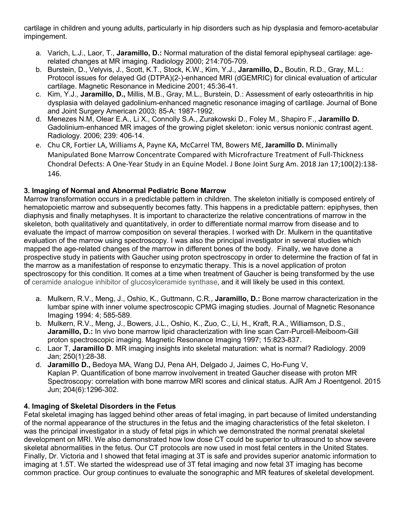cartilage in children and young adults, particularly in hip disorders such as hip dysplasia and femoro-acetabular impingement.

- a. Varich, L.J., Laor, T., **Jaramillo, D.:** Normal maturation of the distal femoral epiphyseal cartilage: agerelated changes at MR imaging. Radiology 2000; 214:705-709.
- b. Burstein, D., Velyvis, J., Scott, K.T., Stock, K.W., Kim, Y.J., **Jaramillo, D.,** Boutin, R.D., Gray, M.L.: Protocol issues for delayed Gd (DTPA)(2-)-enhanced MRI (dGEMRIC) for clinical evaluation of articular cartilage. Magnetic Resonance in Medicine 2001; 45:36-41.
- c. Kim, Y.J., **Jaramillo, D.,** Millis, M.B., Gray, M.L., Burstein, D.: Assessment of early osteoarthritis in hip dysplasia with delayed gadolinium-enhanced magnetic resonance imaging of cartilage. Journal of Bone and Joint Surgery American 2003; 85-A: 1987-1992.
- d. Menezes N.M, Olear E.A., Li X., Connolly S.A., Zurakowski D., Foley M., Shapiro F., **Jaramillo D.** Gadolinium-enhanced MR images of the growing piglet skeleton: ionic versus nonionic contrast agent. Radiology. 2006; 239: 406-14.
- e. Chu CR, Fortier LA, Williams A, Payne KA, McCarrel TM, Bowers ME, **Jaramillo D.** Minimally Manipulated Bone Marrow Concentrate Compared with Microfracture Treatment of Full-Thickness Chondral Defects: A One-Year Study in an Equine Model. J Bone Joint Surg Am. 2018 Jan 17;100(2):138- 146.

## **3. Imaging of Normal and Abnormal Pediatric Bone Marrow**

Marrow transformation occurs in a predictable pattern in children. The skeleton initially is composed entirely of hematopoietic marrow and subsequently becomes fatty. This happens in a predictable pattern: epiphyses, then diaphysis and finally metaphyses. It is important to characterize the relative concentrations of marrow in the skeleton, both qualitatively and quantitatively, in order to differentiate normal marrow from disease and to evaluate the impact of marrow composition on several therapies. I worked with Dr. Mulkern in the quantitative evaluation of the marrow using spectroscopy. I was also the principal investigator in several studies which mapped the age-related changes of the marrow in different bones of the body. Finally, we have done a prospective study in patients with Gaucher using proton spectroscopy in order to determine the fraction of fat in the marrow as a manifestation of response to enzymatic therapy. This is a novel application of proton spectroscopy for this condition. It comes at a time when treatment of Gaucher is being transformed by the use of ceramide analogue inhibitor of glucosylceramide synthase, and it will likely be used in this context.

- a. Mulkern, R.V., Meng, J., Oshio, K., Guttmann, C.R., **Jaramillo, D.:** Bone marrow characterization in the lumbar spine with inner volume spectroscopic CPMG imaging studies. Journal of Magnetic Resonance Imaging 1994: 4; 585-589.
- b. Mulkern, R.V., Meng, J., Bowers, J.L., Oshio, K., Zuo, C., Li, H., Kraft, R.A., Williamson, D.S., **Jaramillo, D.:** In vivo bone marrow lipid characterization with line scan Carr-Purcell-Meiboom-Gill proton spectroscopic imaging. Magnetic Resonance Imaging 1997; 15:823-837.
- c. Laor T, **Jaramillo D**. MR imaging insights into skeletal maturation: what is normal? Radiology. 2009 Jan; 250(1):28-38.
- d. **Jaramillo D.,** Bedoya MA, Wang DJ, Pena AH, Delgado J, Jaimes C, Ho-Fung V, Kaplan P. Quantification of bone marrow involvement in treated Gaucher disease with proton MR Spectroscopy: correlation with bone marrow MRI scores and clinical status. AJR Am J Roentgenol. 2015 Jun; 204(6):1296-302.

## **4. Imaging of Skeletal Disorders in the Fetus**

Fetal skeletal imaging has lagged behind other areas of fetal imaging, in part because of limited understanding of the normal appearance of the structures in the fetus and the imaging characteristics of the fetal skeleton. I was the principal investigator in a study of fetal pigs in which we demonstrated the normal prenatal skeletal development on MRI. We also demonstrated how low dose CT could be superior to ultrasound to show severe skeletal abnormalities in the fetus. Our CT protocols are now used in most fetal centers in the United States. Finally, Dr. Victoria and I showed that fetal imaging at 3T is safe and provides superior anatomic information to imaging at 1.5T. We started the widespread use of 3T fetal imaging and now fetal 3T imaging has become common practice. Our group continues to evaluate the sonographic and MR features of skeletal development.